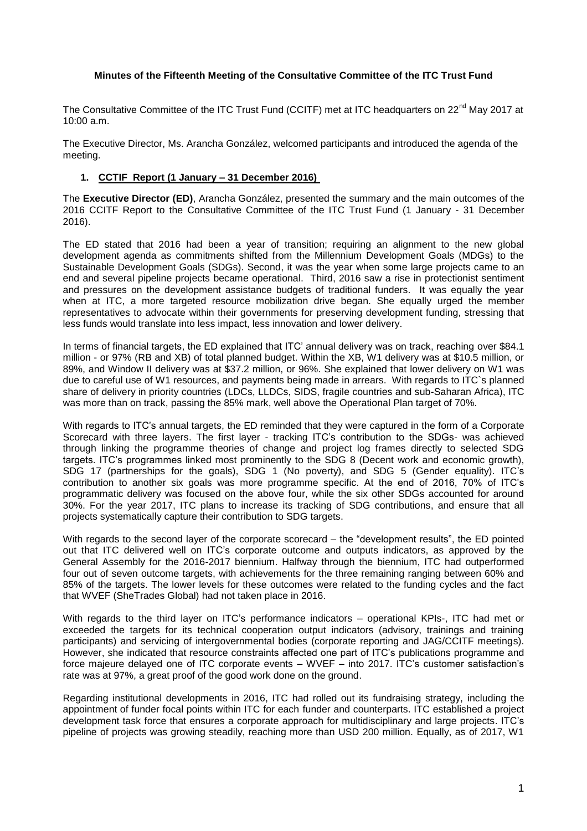## **Minutes of the Fifteenth Meeting of the Consultative Committee of the ITC Trust Fund**

The Consultative Committee of the ITC Trust Fund (CCITF) met at ITC headquarters on 22<sup>nd</sup> May 2017 at 10:00 a.m.

The Executive Director, Ms. Arancha González, welcomed participants and introduced the agenda of the meeting.

### **1. CCTIF Report (1 January – 31 December 2016)**

The **Executive Director (ED)**, Arancha González, presented the summary and the main outcomes of the 2016 CCITF Report to the Consultative Committee of the ITC Trust Fund (1 January - 31 December 2016).

The ED stated that 2016 had been a year of transition; requiring an alignment to the new global development agenda as commitments shifted from the Millennium Development Goals (MDGs) to the Sustainable Development Goals (SDGs). Second, it was the year when some large projects came to an end and several pipeline projects became operational. Third, 2016 saw a rise in protectionist sentiment and pressures on the development assistance budgets of traditional funders. It was equally the year when at ITC, a more targeted resource mobilization drive began. She equally urged the member representatives to advocate within their governments for preserving development funding, stressing that less funds would translate into less impact, less innovation and lower delivery.

In terms of financial targets, the ED explained that ITC' annual delivery was on track, reaching over \$84.1 million - or 97% (RB and XB) of total planned budget. Within the XB, W1 delivery was at \$10.5 million, or 89%, and Window II delivery was at \$37.2 million, or 96%. She explained that lower delivery on W1 was due to careful use of W1 resources, and payments being made in arrears. With regards to ITC`s planned share of delivery in priority countries (LDCs, LLDCs, SIDS, fragile countries and sub-Saharan Africa), ITC was more than on track, passing the 85% mark, well above the Operational Plan target of 70%.

With regards to ITC's annual targets, the ED reminded that they were captured in the form of a Corporate Scorecard with three layers. The first layer - tracking ITC's contribution to the SDGs- was achieved through linking the programme theories of change and project log frames directly to selected SDG targets. ITC's programmes linked most prominently to the SDG 8 (Decent work and economic growth), SDG 17 (partnerships for the goals), SDG 1 (No poverty), and SDG 5 (Gender equality). ITC's contribution to another six goals was more programme specific. At the end of 2016, 70% of ITC's programmatic delivery was focused on the above four, while the six other SDGs accounted for around 30%. For the year 2017, ITC plans to increase its tracking of SDG contributions, and ensure that all projects systematically capture their contribution to SDG targets.

With regards to the second layer of the corporate scorecard – the "development results", the ED pointed out that ITC delivered well on ITC's corporate outcome and outputs indicators, as approved by the General Assembly for the 2016-2017 biennium. Halfway through the biennium, ITC had outperformed four out of seven outcome targets, with achievements for the three remaining ranging between 60% and 85% of the targets. The lower levels for these outcomes were related to the funding cycles and the fact that WVEF (SheTrades Global) had not taken place in 2016.

With regards to the third layer on ITC's performance indicators – operational KPIs-, ITC had met or exceeded the targets for its technical cooperation output indicators (advisory, trainings and training participants) and servicing of intergovernmental bodies (corporate reporting and JAG/CCITF meetings). However, she indicated that resource constraints affected one part of ITC's publications programme and force majeure delayed one of ITC corporate events – WVEF – into 2017. ITC's customer satisfaction's rate was at 97%, a great proof of the good work done on the ground.

Regarding institutional developments in 2016, ITC had rolled out its fundraising strategy, including the appointment of funder focal points within ITC for each funder and counterparts. ITC established a project development task force that ensures a corporate approach for multidisciplinary and large projects. ITC's pipeline of projects was growing steadily, reaching more than USD 200 million. Equally, as of 2017, W1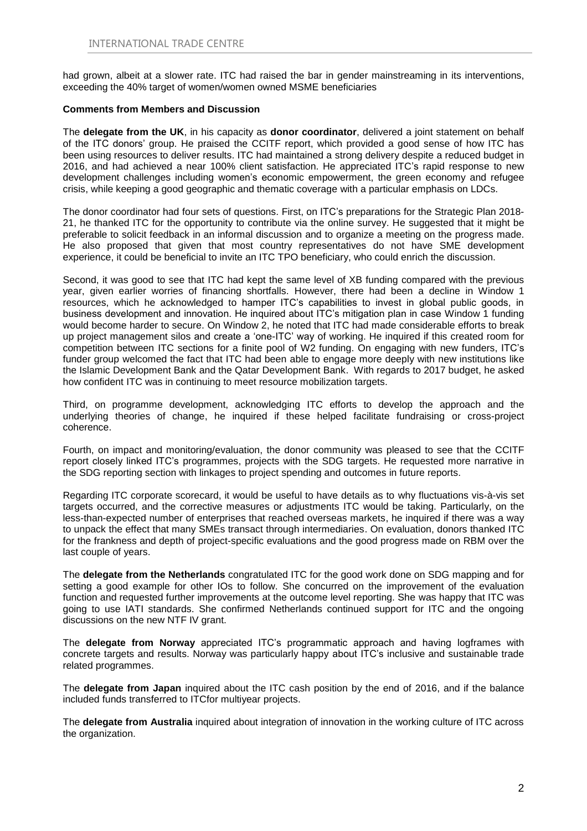had grown, albeit at a slower rate. ITC had raised the bar in gender mainstreaming in its interventions, exceeding the 40% target of women/women owned MSME beneficiaries

#### **Comments from Members and Discussion**

The **delegate from the UK**, in his capacity as **donor coordinator**, delivered a joint statement on behalf of the ITC donors' group. He praised the CCITF report, which provided a good sense of how ITC has been using resources to deliver results. ITC had maintained a strong delivery despite a reduced budget in 2016, and had achieved a near 100% client satisfaction. He appreciated ITC's rapid response to new development challenges including women's economic empowerment, the green economy and refugee crisis, while keeping a good geographic and thematic coverage with a particular emphasis on LDCs.

The donor coordinator had four sets of questions. First, on ITC's preparations for the Strategic Plan 2018- 21, he thanked ITC for the opportunity to contribute via the online survey. He suggested that it might be preferable to solicit feedback in an informal discussion and to organize a meeting on the progress made. He also proposed that given that most country representatives do not have SME development experience, it could be beneficial to invite an ITC TPO beneficiary, who could enrich the discussion.

Second, it was good to see that ITC had kept the same level of XB funding compared with the previous year, given earlier worries of financing shortfalls. However, there had been a decline in Window 1 resources, which he acknowledged to hamper ITC's capabilities to invest in global public goods, in business development and innovation. He inquired about ITC's mitigation plan in case Window 1 funding would become harder to secure. On Window 2, he noted that ITC had made considerable efforts to break up project management silos and create a 'one-ITC' way of working. He inquired if this created room for competition between ITC sections for a finite pool of W2 funding. On engaging with new funders, ITC's funder group welcomed the fact that ITC had been able to engage more deeply with new institutions like the Islamic Development Bank and the Qatar Development Bank. With regards to 2017 budget, he asked how confident ITC was in continuing to meet resource mobilization targets.

Third, on programme development, acknowledging ITC efforts to develop the approach and the underlying theories of change, he inquired if these helped facilitate fundraising or cross-project coherence.

Fourth, on impact and monitoring/evaluation, the donor community was pleased to see that the CCITF report closely linked ITC's programmes, projects with the SDG targets. He requested more narrative in the SDG reporting section with linkages to project spending and outcomes in future reports.

Regarding ITC corporate scorecard, it would be useful to have details as to why fluctuations vis-à-vis set targets occurred, and the corrective measures or adjustments ITC would be taking. Particularly, on the less-than-expected number of enterprises that reached overseas markets, he inquired if there was a way to unpack the effect that many SMEs transact through intermediaries. On evaluation, donors thanked ITC for the frankness and depth of project-specific evaluations and the good progress made on RBM over the last couple of years.

The **delegate from the Netherlands** congratulated ITC for the good work done on SDG mapping and for setting a good example for other IOs to follow. She concurred on the improvement of the evaluation function and requested further improvements at the outcome level reporting. She was happy that ITC was going to use IATI standards. She confirmed Netherlands continued support for ITC and the ongoing discussions on the new NTF IV grant.

The **delegate from Norway** appreciated ITC's programmatic approach and having logframes with concrete targets and results. Norway was particularly happy about ITC's inclusive and sustainable trade related programmes.

The **delegate from Japan** inquired about the ITC cash position by the end of 2016, and if the balance included funds transferred to ITCfor multiyear projects.

The **delegate from Australia** inquired about integration of innovation in the working culture of ITC across the organization.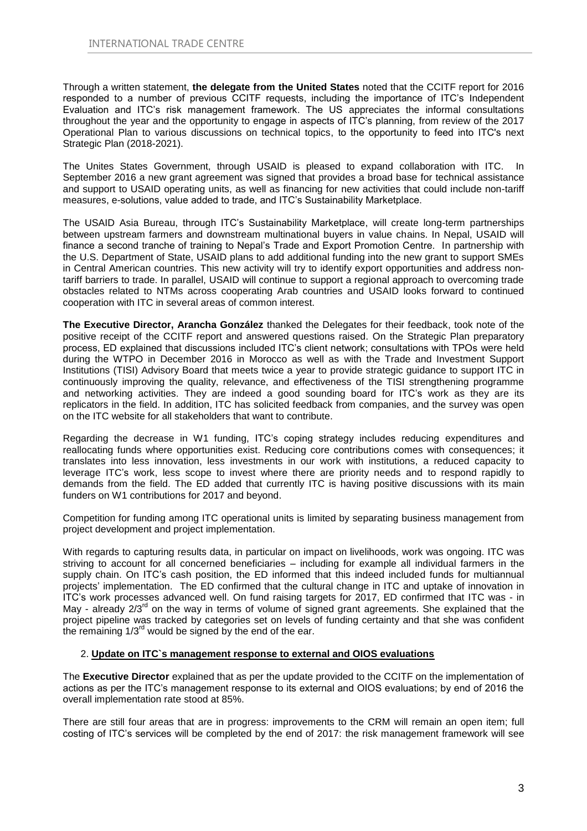Through a written statement, **the delegate from the United States** noted that the CCITF report for 2016 responded to a number of previous CCITF requests, including the importance of ITC's Independent Evaluation and ITC's risk management framework. The US appreciates the informal consultations throughout the year and the opportunity to engage in aspects of ITC's planning, from review of the 2017 Operational Plan to various discussions on technical topics, to the opportunity to feed into ITC's next Strategic Plan (2018-2021).

The Unites States Government, through USAID is pleased to expand collaboration with ITC. In September 2016 a new grant agreement was signed that provides a broad base for technical assistance and support to USAID operating units, as well as financing for new activities that could include non-tariff measures, e-solutions, value added to trade, and ITC's Sustainability Marketplace.

The USAID Asia Bureau, through ITC's Sustainability Marketplace, will create long-term partnerships between upstream farmers and downstream multinational buyers in value chains. In Nepal, USAID will finance a second tranche of training to Nepal's Trade and Export Promotion Centre. In partnership with the U.S. Department of State, USAID plans to add additional funding into the new grant to support SMEs in Central American countries. This new activity will try to identify export opportunities and address nontariff barriers to trade. In parallel, USAID will continue to support a regional approach to overcoming trade obstacles related to NTMs across cooperating Arab countries and USAID looks forward to continued cooperation with ITC in several areas of common interest.

**The Executive Director, Arancha González** thanked the Delegates for their feedback, took note of the positive receipt of the CCITF report and answered questions raised. On the Strategic Plan preparatory process, ED explained that discussions included ITC's client network; consultations with TPOs were held during the WTPO in December 2016 in Morocco as well as with the Trade and Investment Support Institutions (TISI) Advisory Board that meets twice a year to provide strategic guidance to support ITC in continuously improving the quality, relevance, and effectiveness of the TISI strengthening programme and networking activities. They are indeed a good sounding board for ITC's work as they are its replicators in the field. In addition, ITC has solicited feedback from companies, and the survey was open on the ITC website for all stakeholders that want to contribute.

Regarding the decrease in W1 funding, ITC's coping strategy includes reducing expenditures and reallocating funds where opportunities exist. Reducing core contributions comes with consequences; it translates into less innovation, less investments in our work with institutions, a reduced capacity to leverage ITC's work, less scope to invest where there are priority needs and to respond rapidly to demands from the field. The ED added that currently ITC is having positive discussions with its main funders on W1 contributions for 2017 and beyond.

Competition for funding among ITC operational units is limited by separating business management from project development and project implementation.

With regards to capturing results data, in particular on impact on livelihoods, work was ongoing. ITC was striving to account for all concerned beneficiaries – including for example all individual farmers in the supply chain. On ITC's cash position, the ED informed that this indeed included funds for multiannual projects' implementation. The ED confirmed that the cultural change in ITC and uptake of innovation in ITC's work processes advanced well. On fund raising targets for 2017, ED confirmed that ITC was - in May - already  $2/3<sup>rd</sup>$  on the way in terms of volume of signed grant agreements. She explained that the project pipeline was tracked by categories set on levels of funding certainty and that she was confident the remaining 1/3<sup>rd</sup> would be signed by the end of the ear.

## 2. **Update on ITC`s management response to external and OIOS evaluations**

The **Executive Director** explained that as per the update provided to the CCITF on the implementation of actions as per the ITC's management response to its external and OIOS evaluations; by end of 2016 the overall implementation rate stood at 85%.

There are still four areas that are in progress: improvements to the CRM will remain an open item; full costing of ITC's services will be completed by the end of 2017: the risk management framework will see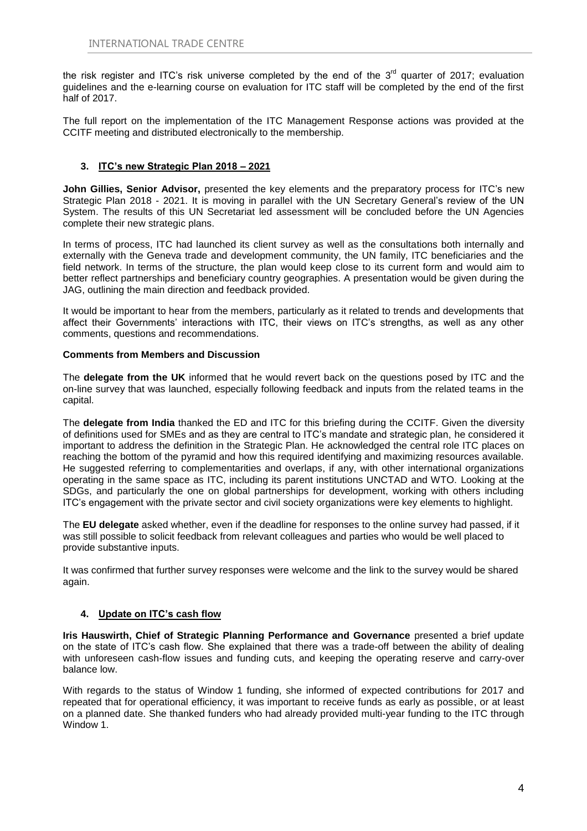the risk register and ITC's risk universe completed by the end of the 3<sup>rd</sup> quarter of 2017; evaluation guidelines and the e-learning course on evaluation for ITC staff will be completed by the end of the first half of 2017.

The full report on the implementation of the ITC Management Response actions was provided at the CCITF meeting and distributed electronically to the membership.

## **3. ITC's new Strategic Plan 2018 – 2021**

**John Gillies, Senior Advisor,** presented the key elements and the preparatory process for ITC's new Strategic Plan 2018 - 2021. It is moving in parallel with the UN Secretary General's review of the UN System. The results of this UN Secretariat led assessment will be concluded before the UN Agencies complete their new strategic plans.

In terms of process, ITC had launched its client survey as well as the consultations both internally and externally with the Geneva trade and development community, the UN family, ITC beneficiaries and the field network. In terms of the structure, the plan would keep close to its current form and would aim to better reflect partnerships and beneficiary country geographies. A presentation would be given during the JAG, outlining the main direction and feedback provided.

It would be important to hear from the members, particularly as it related to trends and developments that affect their Governments' interactions with ITC, their views on ITC's strengths, as well as any other comments, questions and recommendations.

## **Comments from Members and Discussion**

The **delegate from the UK** informed that he would revert back on the questions posed by ITC and the on-line survey that was launched, especially following feedback and inputs from the related teams in the capital.

The **delegate from India** thanked the ED and ITC for this briefing during the CCITF. Given the diversity of definitions used for SMEs and as they are central to ITC's mandate and strategic plan, he considered it important to address the definition in the Strategic Plan. He acknowledged the central role ITC places on reaching the bottom of the pyramid and how this required identifying and maximizing resources available. He suggested referring to complementarities and overlaps, if any, with other international organizations operating in the same space as ITC, including its parent institutions UNCTAD and WTO. Looking at the SDGs, and particularly the one on global partnerships for development, working with others including ITC's engagement with the private sector and civil society organizations were key elements to highlight.

The **EU delegate** asked whether, even if the deadline for responses to the online survey had passed, if it was still possible to solicit feedback from relevant colleagues and parties who would be well placed to provide substantive inputs.

It was confirmed that further survey responses were welcome and the link to the survey would be shared again.

## **4. Update on ITC's cash flow**

**Iris Hauswirth, Chief of Strategic Planning Performance and Governance** presented a brief update on the state of ITC's cash flow. She explained that there was a trade-off between the ability of dealing with unforeseen cash-flow issues and funding cuts, and keeping the operating reserve and carry-over balance low.

With regards to the status of Window 1 funding, she informed of expected contributions for 2017 and repeated that for operational efficiency, it was important to receive funds as early as possible, or at least on a planned date. She thanked funders who had already provided multi-year funding to the ITC through Window 1.